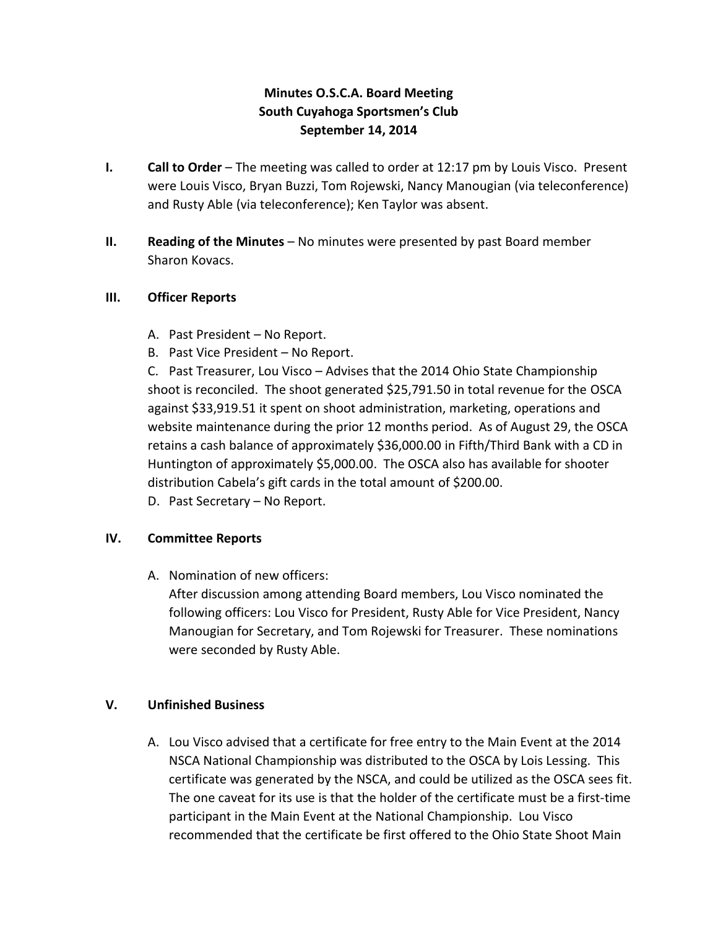# **Minutes O.S.C.A. Board Meeting South Cuyahoga Sportsmen's Club September 14, 2014**

- **I. Call to Order** The meeting was called to order at 12:17 pm by Louis Visco. Present were Louis Visco, Bryan Buzzi, Tom Rojewski, Nancy Manougian (via teleconference) and Rusty Able (via teleconference); Ken Taylor was absent.
- **II. Reading of the Minutes**  No minutes were presented by past Board member Sharon Kovacs.

#### **III. Officer Reports**

- A. Past President No Report.
- B. Past Vice President No Report.

C. Past Treasurer, Lou Visco – Advises that the 2014 Ohio State Championship shoot is reconciled. The shoot generated \$25,791.50 in total revenue for the OSCA against \$33,919.51 it spent on shoot administration, marketing, operations and website maintenance during the prior 12 months period. As of August 29, the OSCA retains a cash balance of approximately \$36,000.00 in Fifth/Third Bank with a CD in Huntington of approximately \$5,000.00. The OSCA also has available for shooter distribution Cabela's gift cards in the total amount of \$200.00.

D. Past Secretary – No Report.

## **IV. Committee Reports**

A. Nomination of new officers:

After discussion among attending Board members, Lou Visco nominated the following officers: Lou Visco for President, Rusty Able for Vice President, Nancy Manougian for Secretary, and Tom Rojewski for Treasurer. These nominations were seconded by Rusty Able.

## **V. Unfinished Business**

A. Lou Visco advised that a certificate for free entry to the Main Event at the 2014 NSCA National Championship was distributed to the OSCA by Lois Lessing. This certificate was generated by the NSCA, and could be utilized as the OSCA sees fit. The one caveat for its use is that the holder of the certificate must be a first-time participant in the Main Event at the National Championship. Lou Visco recommended that the certificate be first offered to the Ohio State Shoot Main